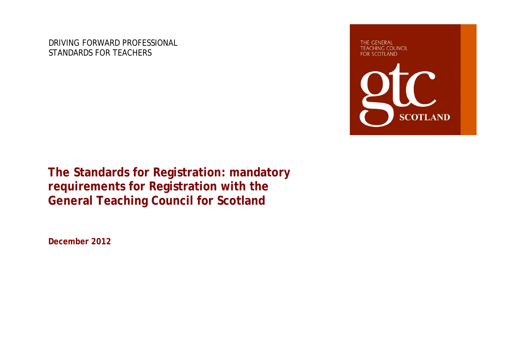DRIVING FORWARD PROFESSIONAL STANDARDS FOR TEACHERS

THE GENERAL **TEACHING COUNCIL FOR SCOTLAND** 



**The Standards for Registration: mandatory requirements for Registration with the General Teaching Council for Scotland**

**December 2012**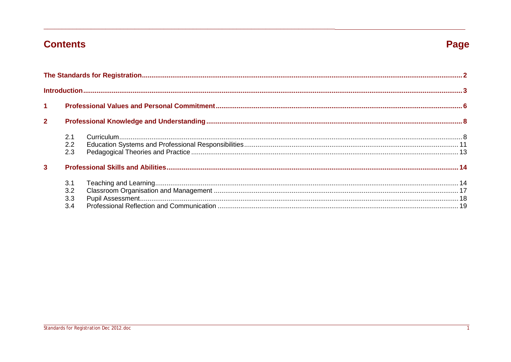## **Contents**

# Page

| $\mathbf{1}$            |                   |  |
|-------------------------|-------------------|--|
| $\overline{2}$          |                   |  |
|                         | 2.1<br>2.3        |  |
| $\overline{\mathbf{3}}$ |                   |  |
|                         | 3.1<br>3.3<br>3.4 |  |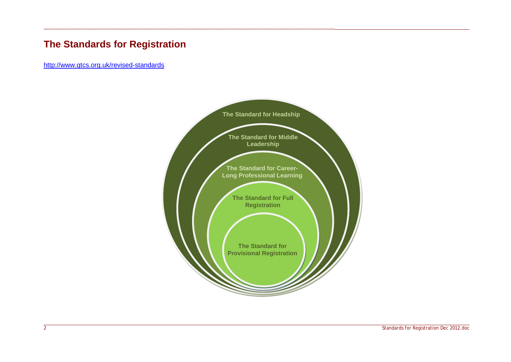## <span id="page-2-0"></span>**The Standards for Registration**

\_\_\_\_\_\_\_\_\_\_\_\_\_\_\_\_\_\_\_\_\_\_\_\_\_\_\_\_\_\_\_\_\_\_\_\_\_\_\_\_\_\_\_\_\_\_\_\_\_\_\_\_\_\_\_\_\_\_\_\_\_\_\_\_\_\_\_\_\_\_\_\_\_\_\_\_\_\_\_\_

<http://www.gtcs.org.uk/revised-standards>

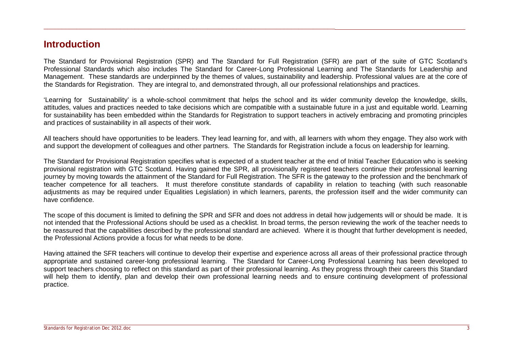## <span id="page-3-0"></span>**Introduction**

The Standard for Provisional Registration (SPR) and The Standard for Full Registration (SFR) are part of the suite of GTC Scotland's Professional Standards which also includes The Standard for Career-Long Professional Learning and The Standards for Leadership and Management. These standards are underpinned by the themes of values, sustainability and leadership. Professional values are at the core of the Standards for Registration. They are integral to, and demonstrated through, all our professional relationships and practices.

\_\_\_\_\_\_\_\_\_\_\_\_\_\_\_\_\_\_\_\_\_\_\_\_\_\_\_\_\_\_\_\_\_\_\_\_\_\_\_\_\_\_\_\_\_\_\_\_\_\_\_\_\_\_\_\_\_\_\_\_\_\_\_\_\_\_\_\_\_\_\_\_\_\_\_\_\_\_\_\_

'Learning for Sustainability' is a whole-school commitment that helps the school and its wider community develop the knowledge, skills, attitudes, values and practices needed to take decisions which are compatible with a sustainable future in a just and equitable world. Learning for sustainability has been embedded within the Standards for Registration to support teachers in actively embracing and promoting principles and practices of sustainability in all aspects of their work.

All teachers should have opportunities to be leaders. They lead learning for, and with, all learners with whom they engage. They also work with and support the development of colleagues and other partners. The Standards for Registration include a focus on leadership for learning.

The Standard for Provisional Registration specifies what is expected of a student teacher at the end of Initial Teacher Education who is seeking provisional registration with GTC Scotland. Having gained the SPR, all provisionally registered teachers continue their professional learning journey by moving towards the attainment of the Standard for Full Registration. The SFR is the gateway to the profession and the benchmark of teacher competence for all teachers. It must therefore constitute standards of capability in relation to teaching (with such reasonable adjustments as may be required under Equalities Legislation) in which learners, parents, the profession itself and the wider community can have confidence.

The scope of this document is limited to defining the SPR and SFR and does not address in detail how judgements will or should be made. It is not intended that the Professional Actions should be used as a checklist. In broad terms, the person reviewing the work of the teacher needs to be reassured that the capabilities described by the professional standard are achieved. Where it is thought that further development is needed, the Professional Actions provide a focus for what needs to be done.

Having attained the SFR teachers will continue to develop their expertise and experience across all areas of their professional practice through appropriate and sustained career-long professional learning. The Standard for Career-Long Professional Learning has been developed to support teachers choosing to reflect on this standard as part of their professional learning. As they progress through their careers this Standard will help them to identify, plan and develop their own professional learning needs and to ensure continuing development of professional practice.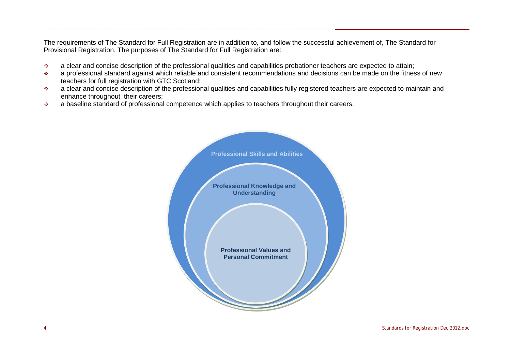The requirements of The Standard for Full Registration are in addition to, and follow the successful achievement of, The Standard for Provisional Registration. The purposes of The Standard for Full Registration are:

- \* a clear and concise description of the professional qualities and capabilities probationer teachers are expected to attain;
- \* a professional standard against which reliable and consistent recommendations and decisions can be made on the fitness of new teachers for full registration with GTC Scotland;
- \* a clear and concise description of the professional qualities and capabilities fully registered teachers are expected to maintain and enhance throughout their careers;
- $\bullet$  a baseline standard of professional competence which applies to teachers throughout their careers.

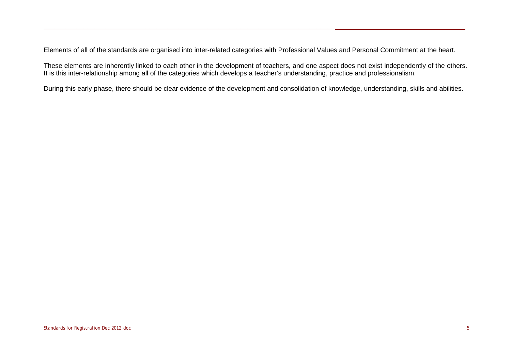Elements of all of the standards are organised into inter-related categories with Professional Values and Personal Commitment at the heart.

\_\_\_\_\_\_\_\_\_\_\_\_\_\_\_\_\_\_\_\_\_\_\_\_\_\_\_\_\_\_\_\_\_\_\_\_\_\_\_\_\_\_\_\_\_\_\_\_\_\_\_\_\_\_\_\_\_\_\_\_\_\_\_\_\_\_\_\_\_\_\_\_\_\_\_\_\_\_\_\_

These elements are inherently linked to each other in the development of teachers, and one aspect does not exist independently of the others. It is this inter-relationship among all of the categories which develops a teacher's understanding, practice and professionalism.

During this early phase, there should be clear evidence of the development and consolidation of knowledge, understanding, skills and abilities.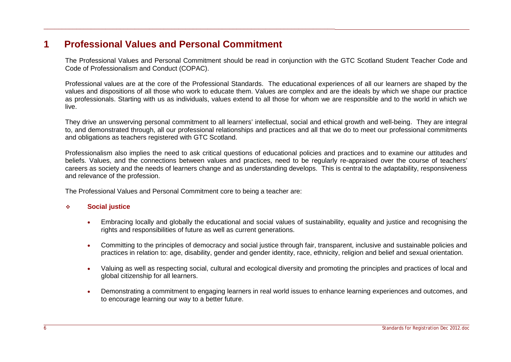## <span id="page-6-0"></span>**1 Professional Values and Personal Commitment**

\_\_\_\_\_\_\_\_\_\_\_\_\_\_\_\_\_\_\_\_\_\_\_\_\_\_\_\_\_\_\_\_\_\_\_\_\_\_\_\_\_\_\_\_\_\_\_\_\_\_\_\_\_\_\_\_\_\_\_\_\_\_\_\_\_\_\_\_\_\_\_\_\_\_\_\_\_\_\_\_

The Professional Values and Personal Commitment should be read in conjunction with the GTC Scotland Student Teacher Code and Code of Professionalism and Conduct (COPAC).

Professional values are at the core of the Professional Standards. The educational experiences of all our learners are shaped by the values and dispositions of all those who work to educate them. Values are complex and are the ideals by which we shape our practice as professionals. Starting with us as individuals, values extend to all those for whom we are responsible and to the world in which we live.

They drive an unswerving personal commitment to all learners' intellectual, social and ethical growth and well-being. They are integral to, and demonstrated through, all our professional relationships and practices and all that we do to meet our professional commitments and obligations as teachers registered with GTC Scotland.

Professionalism also implies the need to ask critical questions of educational policies and practices and to examine our attitudes and beliefs. Values, and the connections between values and practices, need to be regularly re-appraised over the course of teachers' careers as society and the needs of learners change and as understanding develops. This is central to the adaptability, responsiveness and relevance of the profession.

The Professional Values and Personal Commitment core to being a teacher are:

#### **Social justice**

- Embracing locally and globally the educational and social values of sustainability, equality and justice and recognising the rights and responsibilities of future as well as current generations.
- Committing to the principles of democracy and social justice through fair, transparent, inclusive and sustainable policies and practices in relation to: age, disability, gender and gender identity, race, ethnicity, religion and belief and sexual orientation.
- Valuing as well as respecting social, cultural and ecological diversity and promoting the principles and practices of local and global citizenship for all learners.
- Demonstrating a commitment to engaging learners in real world issues to enhance learning experiences and outcomes, and to encourage learning our way to a better future.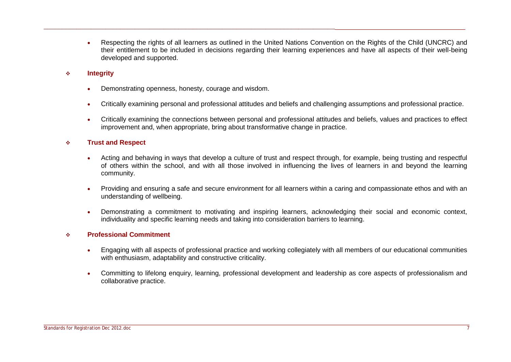- Respecting the rights of all learners as outlined in the United Nations Convention on the Rights of the Child (UNCRC) and their entitlement to be included in decisions regarding their learning experiences and have all aspects of their well-being developed and supported.
- **Integrity**
	- Demonstrating openness, honesty, courage and wisdom.

- Critically examining personal and professional attitudes and beliefs and challenging assumptions and professional practice.
- Critically examining the connections between personal and professional attitudes and beliefs, values and practices to effect improvement and, when appropriate, bring about transformative change in practice.

#### **Trust and Respect**

- Acting and behaving in ways that develop a culture of trust and respect through, for example, being trusting and respectful of others within the school, and with all those involved in influencing the lives of learners in and beyond the learning community.
- Providing and ensuring a safe and secure environment for all learners within a caring and compassionate ethos and with an understanding of wellbeing.
- Demonstrating a commitment to motivating and inspiring learners, acknowledging their social and economic context, individuality and specific learning needs and taking into consideration barriers to learning.

#### **Professional Commitment**

- Engaging with all aspects of professional practice and working collegiately with all members of our educational communities with enthusiasm, adaptability and constructive criticality.
- Committing to lifelong enquiry, learning, professional development and leadership as core aspects of professionalism and collaborative practice.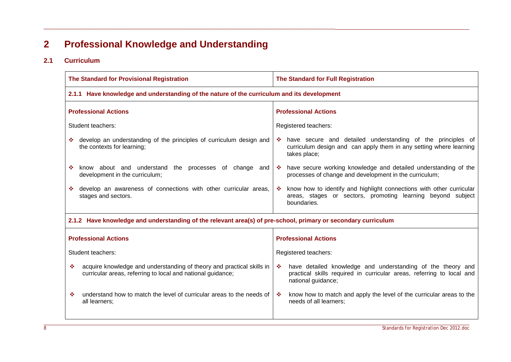# <span id="page-8-0"></span>**2 Professional Knowledge and Understanding**

\_\_\_\_\_\_\_\_\_\_\_\_\_\_\_\_\_\_\_\_\_\_\_\_\_\_\_\_\_\_\_\_\_\_\_\_\_\_\_\_\_\_\_\_\_\_\_\_\_\_\_\_\_\_\_\_\_\_\_\_\_\_\_\_\_\_\_\_\_\_\_\_\_\_\_\_\_\_\_\_

### <span id="page-8-1"></span>**2.1 Curriculum**

| <b>The Standard for Provisional Registration</b>                                                                                          | The Standard for Full Registration                                                                                                                              |  |
|-------------------------------------------------------------------------------------------------------------------------------------------|-----------------------------------------------------------------------------------------------------------------------------------------------------------------|--|
| 2.1.1 Have knowledge and understanding of the nature of the curriculum and its development                                                |                                                                                                                                                                 |  |
| <b>Professional Actions</b>                                                                                                               | <b>Professional Actions</b>                                                                                                                                     |  |
| Student teachers:                                                                                                                         | Registered teachers:                                                                                                                                            |  |
| develop an understanding of the principles of curriculum design and<br>the contexts for learning;                                         | A have secure and detailed understanding of the principles of<br>curriculum design and can apply them in any setting where learning<br>takes place;             |  |
| know about and understand the processes of change and<br>❖<br>development in the curriculum;                                              | ❖ have secure working knowledge and detailed understanding of the<br>processes of change and development in the curriculum;                                     |  |
| develop an awareness of connections with other curricular areas,<br>stages and sectors.                                                   | know how to identify and highlight connections with other curricular<br>-66<br>areas, stages or sectors, promoting learning beyond subject<br>boundaries.       |  |
| 2.1.2 Have knowledge and understanding of the relevant area(s) of pre-school, primary or secondary curriculum                             |                                                                                                                                                                 |  |
| <b>Professional Actions</b>                                                                                                               | <b>Professional Actions</b>                                                                                                                                     |  |
| Student teachers:                                                                                                                         | Registered teachers:                                                                                                                                            |  |
| ٠<br>acquire knowledge and understanding of theory and practical skills in<br>curricular areas, referring to local and national guidance; | have detailed knowledge and understanding of the theory and<br>豪<br>practical skills required in curricular areas, referring to local and<br>national guidance; |  |
| understand how to match the level of curricular areas to the needs of<br>❖<br>all learners;                                               | know how to match and apply the level of the curricular areas to the<br>-6<br>needs of all learners;                                                            |  |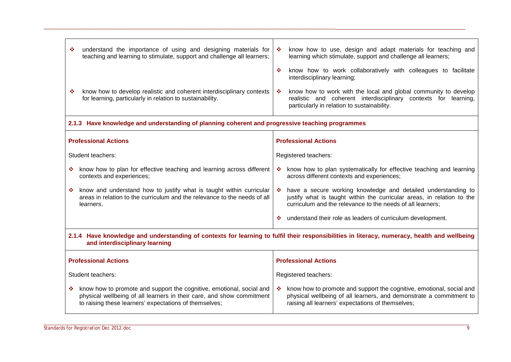| understand the importance of using and designing materials for<br>know how to use, design and adapt materials for teaching and<br>-66<br>teaching and learning to stimulate, support and challenge all learners;<br>learning which stimulate, support and challenge all learners;<br>know how to work collaboratively with colleagues to facilitate<br>壘<br>interdisciplinary learning; |  |  |
|-----------------------------------------------------------------------------------------------------------------------------------------------------------------------------------------------------------------------------------------------------------------------------------------------------------------------------------------------------------------------------------------|--|--|
| know how to work with the local and global community to develop<br>know how to develop realistic and coherent interdisciplinary contexts<br>樂<br>realistic and coherent interdisciplinary contexts for learning,<br>particularly in relation to sustainability.                                                                                                                         |  |  |
| 2.1.3 Have knowledge and understanding of planning coherent and progressive teaching programmes                                                                                                                                                                                                                                                                                         |  |  |
| <b>Professional Actions</b>                                                                                                                                                                                                                                                                                                                                                             |  |  |
| Registered teachers:                                                                                                                                                                                                                                                                                                                                                                    |  |  |
| know how to plan for effective teaching and learning across different<br>know how to plan systematically for effective teaching and learning<br>❖<br>across different contexts and experiences;                                                                                                                                                                                         |  |  |
| know and understand how to justify what is taught within curricular<br>have a secure working knowledge and detailed understanding to<br>樂<br>areas in relation to the curriculum and the relevance to the needs of all<br>justify what is taught within the curricular areas, in relation to the<br>curriculum and the relevance to the needs of all learners;                          |  |  |
| understand their role as leaders of curriculum development.<br>察                                                                                                                                                                                                                                                                                                                        |  |  |
| 2.1.4 Have knowledge and understanding of contexts for learning to fulfil their responsibilities in literacy, numeracy, health and wellbeing<br>and interdisciplinary learning                                                                                                                                                                                                          |  |  |
| <b>Professional Actions</b>                                                                                                                                                                                                                                                                                                                                                             |  |  |
| Registered teachers:                                                                                                                                                                                                                                                                                                                                                                    |  |  |
| know how to promote and support the cognitive, emotional, social and<br>know how to promote and support the cognitive, emotional, social and<br>樂。<br>physical wellbeing of all learners in their care, and show commitment<br>physical wellbeing of all learners, and demonstrate a commitment to<br>raising all learners' expectations of themselves;                                 |  |  |
|                                                                                                                                                                                                                                                                                                                                                                                         |  |  |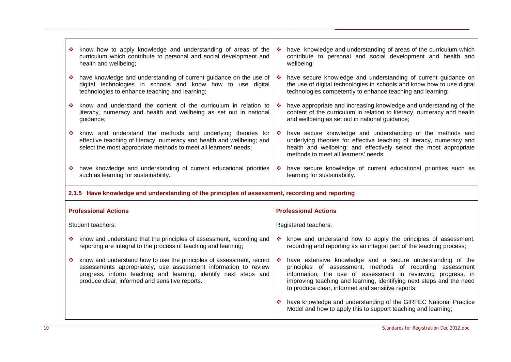| know how to apply knowledge and understanding of areas of the<br>curriculum which contribute to personal and social development and<br>health and wellbeing;                                                                                                     | have knowledge and understanding of areas of the curriculum which<br><b>Record</b><br>contribute to personal and social development and health and<br>wellbeing;                                                                                                                                                           |
|------------------------------------------------------------------------------------------------------------------------------------------------------------------------------------------------------------------------------------------------------------------|----------------------------------------------------------------------------------------------------------------------------------------------------------------------------------------------------------------------------------------------------------------------------------------------------------------------------|
| have knowledge and understanding of current guidance on the use of<br>digital technologies in schools and know how to use digital<br>technologies to enhance teaching and learning;                                                                              | • have secure knowledge and understanding of current guidance on<br>the use of digital technologies in schools and know how to use digital<br>technologies competently to enhance teaching and learning;                                                                                                                   |
| know and understand the content of the curriculum in relation to<br>literacy, numeracy and health and wellbeing as set out in national<br>guidance;                                                                                                              | have appropriate and increasing knowledge and understanding of the<br>樂<br>content of the curriculum in relation to literacy, numeracy and health<br>and wellbeing as set out in national guidance;                                                                                                                        |
| know and understand the methods and underlying theories for<br>effective teaching of literacy, numeracy and health and wellbeing; and<br>select the most appropriate methods to meet all learners' needs;                                                        | have secure knowledge and understanding of the methods and<br>underlying theories for effective teaching of literacy, numeracy and<br>health and wellbeing; and effectively select the most appropriate<br>methods to meet all learners' needs;                                                                            |
| * have knowledge and understanding of current educational priorities<br>such as learning for sustainability.                                                                                                                                                     | * have secure knowledge of current educational priorities such as<br>learning for sustainability.                                                                                                                                                                                                                          |
|                                                                                                                                                                                                                                                                  |                                                                                                                                                                                                                                                                                                                            |
| 2.1.5 Have knowledge and understanding of the principles of assessment, recording and reporting                                                                                                                                                                  |                                                                                                                                                                                                                                                                                                                            |
| <b>Professional Actions</b>                                                                                                                                                                                                                                      | <b>Professional Actions</b>                                                                                                                                                                                                                                                                                                |
| Student teachers:                                                                                                                                                                                                                                                | Registered teachers:                                                                                                                                                                                                                                                                                                       |
| know and understand that the principles of assessment, recording and<br>❖<br>reporting are integral to the process of teaching and learning;                                                                                                                     | know and understand how to apply the principles of assessment,<br><b>SALE</b><br>recording and reporting as an integral part of the teaching process;                                                                                                                                                                      |
| know and understand how to use the principles of assessment, record<br>壘<br>assessments appropriately, use assessment information to review<br>progress, inform teaching and learning, identify next steps and<br>produce clear, informed and sensitive reports. | have extensive knowledge and a secure understanding of the<br>豪。<br>principles of assessment, methods of recording assessment<br>information, the use of assessment in reviewing progress, in<br>improving teaching and learning, identifying next steps and the need<br>to produce clear, informed and sensitive reports; |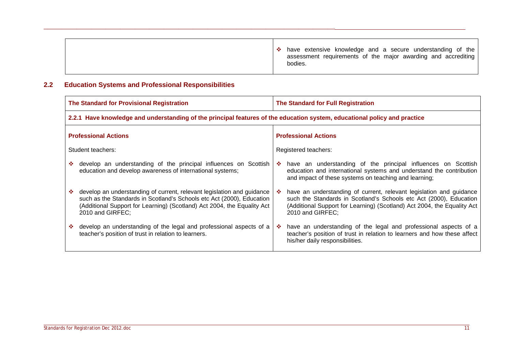## <span id="page-11-0"></span>**2.2 Education Systems and Professional Responsibilities**

| The Standard for Provisional Registration                                                                                                                                                                                                      | The Standard for Full Registration                                                                                                                                                                                                             |
|------------------------------------------------------------------------------------------------------------------------------------------------------------------------------------------------------------------------------------------------|------------------------------------------------------------------------------------------------------------------------------------------------------------------------------------------------------------------------------------------------|
|                                                                                                                                                                                                                                                | 2.2.1 Have knowledge and understanding of the principal features of the education system, educational policy and practice                                                                                                                      |
| <b>Professional Actions</b>                                                                                                                                                                                                                    | <b>Professional Actions</b>                                                                                                                                                                                                                    |
| Student teachers:                                                                                                                                                                                                                              | Registered teachers:                                                                                                                                                                                                                           |
| develop an understanding of the principal influences on Scottish<br>education and develop awareness of international systems;                                                                                                                  | A have an understanding of the principal influences on Scottish<br>education and international systems and understand the contribution<br>and impact of these systems on teaching and learning;                                                |
| develop an understanding of current, relevant legislation and guidance<br>such as the Standards in Scotland's Schools etc Act (2000), Education<br>(Additional Support for Learning) (Scotland) Act 2004, the Equality Act<br>2010 and GIRFEC; | have an understanding of current, relevant legislation and guidance<br>-6<br>such the Standards in Scotland's Schools etc Act (2000), Education<br>(Additional Support for Learning) (Scotland) Act 2004, the Equality Act<br>2010 and GIRFEC; |
| develop an understanding of the legal and professional aspects of a<br>teacher's position of trust in relation to learners.                                                                                                                    | have an understanding of the legal and professional aspects of a<br>-9<br>teacher's position of trust in relation to learners and how these affect<br>his/her daily responsibilities.                                                          |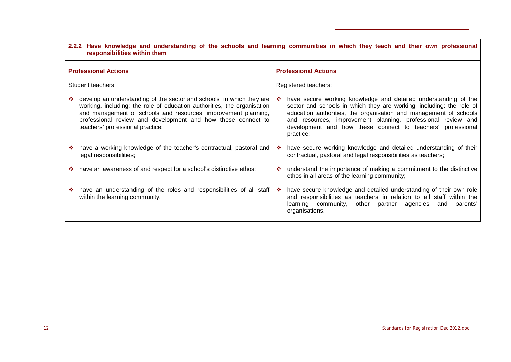|    | 2.2.2 Have knowledge and understanding of the schools and learning communities in which they teach and their own professional<br>responsibilities within them                                                                                                                                                         |    |                                                                                                                                                                                                                                                                                                                                                          |
|----|-----------------------------------------------------------------------------------------------------------------------------------------------------------------------------------------------------------------------------------------------------------------------------------------------------------------------|----|----------------------------------------------------------------------------------------------------------------------------------------------------------------------------------------------------------------------------------------------------------------------------------------------------------------------------------------------------------|
|    | <b>Professional Actions</b>                                                                                                                                                                                                                                                                                           |    | <b>Professional Actions</b>                                                                                                                                                                                                                                                                                                                              |
|    | Student teachers:                                                                                                                                                                                                                                                                                                     |    | Registered teachers:                                                                                                                                                                                                                                                                                                                                     |
|    | develop an understanding of the sector and schools in which they are<br>working, including: the role of education authorities, the organisation<br>and management of schools and resources, improvement planning,<br>professional review and development and how these connect to<br>teachers' professional practice; | ❖  | have secure working knowledge and detailed understanding of the<br>sector and schools in which they are working, including: the role of<br>education authorities, the organisation and management of schools<br>and resources, improvement planning, professional review and<br>development and how these connect to teachers' professional<br>practice; |
|    | have a working knowledge of the teacher's contractual, pastoral and<br>legal responsibilities;                                                                                                                                                                                                                        | -6 | have secure working knowledge and detailed understanding of their<br>contractual, pastoral and legal responsibilities as teachers;                                                                                                                                                                                                                       |
|    | have an awareness of and respect for a school's distinctive ethos;                                                                                                                                                                                                                                                    | 樂  | understand the importance of making a commitment to the distinctive<br>ethos in all areas of the learning community;                                                                                                                                                                                                                                     |
| -9 | have an understanding of the roles and responsibilities of all staff<br>within the learning community.                                                                                                                                                                                                                | -6 | have secure knowledge and detailed understanding of their own role<br>and responsibilities as teachers in relation to all staff within the<br>learning community,<br>other partner agencies<br>and<br>parents'<br>organisations.                                                                                                                         |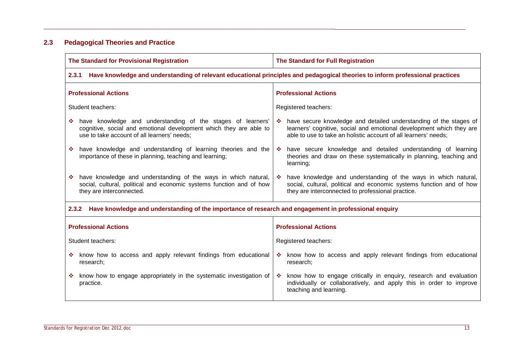## <span id="page-13-0"></span>**2.3 Pedagogical Theories and Practice**

| The Standard for Provisional Registration                                                                                                                                        | The Standard for Full Registration                                                                                                                                                                             |  |  |
|----------------------------------------------------------------------------------------------------------------------------------------------------------------------------------|----------------------------------------------------------------------------------------------------------------------------------------------------------------------------------------------------------------|--|--|
| Have knowledge and understanding of relevant educational principles and pedagogical theories to inform professional practices<br>2.3.1                                           |                                                                                                                                                                                                                |  |  |
| <b>Professional Actions</b>                                                                                                                                                      | <b>Professional Actions</b>                                                                                                                                                                                    |  |  |
| Student teachers:                                                                                                                                                                | Registered teachers:                                                                                                                                                                                           |  |  |
| have knowledge and understanding of the stages of learners'<br>cognitive, social and emotional development which they are able to<br>use to take account of all learners' needs; | ❖ have secure knowledge and detailed understanding of the stages of<br>learners' cognitive, social and emotional development which they are<br>able to use to take an holistic account of all learners' needs; |  |  |
| have knowledge and understanding of learning theories and the<br>-98<br>importance of these in planning, teaching and learning;                                                  | have secure knowledge and detailed understanding of learning<br>-98<br>theories and draw on these systematically in planning, teaching and<br>learning;                                                        |  |  |
| have knowledge and understanding of the ways in which natural,<br>social, cultural, political and economic systems function and of how<br>they are interconnected.               | have knowledge and understanding of the ways in which natural,<br>social, cultural, political and economic systems function and of how<br>they are interconnected to professional practice.                    |  |  |
| 2.3.2 Have knowledge and understanding of the importance of research and engagement in professional enquiry                                                                      |                                                                                                                                                                                                                |  |  |
| <b>Professional Actions</b>                                                                                                                                                      | <b>Professional Actions</b>                                                                                                                                                                                    |  |  |
| Student teachers:                                                                                                                                                                | Registered teachers:                                                                                                                                                                                           |  |  |
| know how to access and apply relevant findings from educational<br>research;                                                                                                     | * know how to access and apply relevant findings from educational<br>research;                                                                                                                                 |  |  |
| know how to engage appropriately in the systematic investigation of<br>practice.                                                                                                 | know how to engage critically in enquiry, research and evaluation<br>-9<br>individually or collaboratively, and apply this in order to improve<br>teaching and learning.                                       |  |  |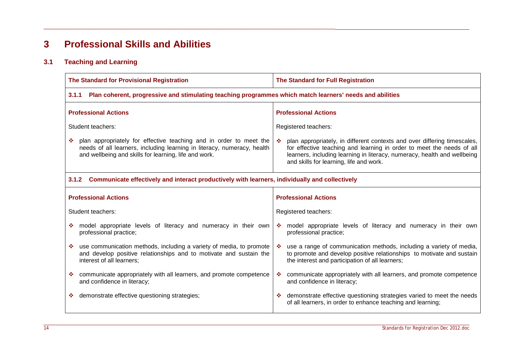# <span id="page-14-0"></span>**3 Professional Skills and Abilities**

\_\_\_\_\_\_\_\_\_\_\_\_\_\_\_\_\_\_\_\_\_\_\_\_\_\_\_\_\_\_\_\_\_\_\_\_\_\_\_\_\_\_\_\_\_\_\_\_\_\_\_\_\_\_\_\_\_\_\_\_\_\_\_\_\_\_\_\_\_\_\_\_\_\_\_\_\_\_\_\_

## <span id="page-14-1"></span>**3.1 Teaching and Learning**

| The Standard for Provisional Registration                                                                                                                                                              | The Standard for Full Registration                                                                                                                                                                                                                                       |
|--------------------------------------------------------------------------------------------------------------------------------------------------------------------------------------------------------|--------------------------------------------------------------------------------------------------------------------------------------------------------------------------------------------------------------------------------------------------------------------------|
| Plan coherent, progressive and stimulating teaching programmes which match learners' needs and abilities<br>3.1.1                                                                                      |                                                                                                                                                                                                                                                                          |
| <b>Professional Actions</b>                                                                                                                                                                            | <b>Professional Actions</b>                                                                                                                                                                                                                                              |
| Student teachers:                                                                                                                                                                                      | Registered teachers:                                                                                                                                                                                                                                                     |
| plan appropriately for effective teaching and in order to meet the<br>needs of all learners, including learning in literacy, numeracy, health<br>and wellbeing and skills for learning, life and work. | plan appropriately, in different contexts and over differing timescales,<br>for effective teaching and learning in order to meet the needs of all<br>learners, including learning in literacy, numeracy, health and wellbeing<br>and skills for learning, life and work. |
| Communicate effectively and interact productively with learners, individually and collectively<br>3.1.2                                                                                                |                                                                                                                                                                                                                                                                          |
| <b>Professional Actions</b>                                                                                                                                                                            | <b>Professional Actions</b>                                                                                                                                                                                                                                              |
| Student teachers:                                                                                                                                                                                      | Registered teachers:                                                                                                                                                                                                                                                     |
| model appropriate levels of literacy and numeracy in their own<br>professional practice;                                                                                                               | * model appropriate levels of literacy and numeracy in their own<br>professional practice;                                                                                                                                                                               |
| use communication methods, including a variety of media, to promote<br>and develop positive relationships and to motivate and sustain the<br>interest of all learners;                                 | use a range of communication methods, including a variety of media,<br>to promote and develop positive relationships to motivate and sustain<br>the interest and participation of all learners;                                                                          |
| communicate appropriately with all learners, and promote competence<br>and confidence in literacy;                                                                                                     | communicate appropriately with all learners, and promote competence<br>❖<br>and confidence in literacy;                                                                                                                                                                  |
| demonstrate effective questioning strategies;                                                                                                                                                          | demonstrate effective questioning strategies varied to meet the needs<br>≁<br>of all learners, in order to enhance teaching and learning;                                                                                                                                |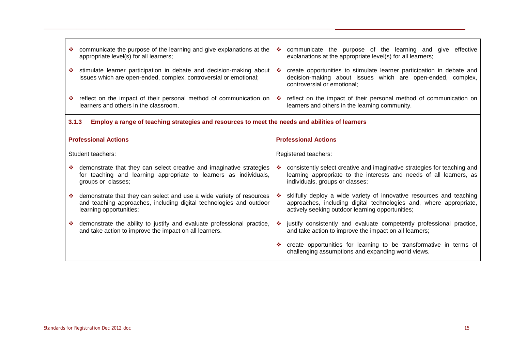| • communicate the purpose of the learning and give explanations at the<br>appropriate level(s) for all learners;                                                         | communicate the purpose of the learning and give<br>樂<br>effective<br>explanations at the appropriate level(s) for all learners;                                                                      |
|--------------------------------------------------------------------------------------------------------------------------------------------------------------------------|-------------------------------------------------------------------------------------------------------------------------------------------------------------------------------------------------------|
| stimulate learner participation in debate and decision-making about<br>issues which are open-ended, complex, controversial or emotional;                                 | create opportunities to stimulate learner participation in debate and<br>-9<br>decision-making about issues which are open-ended, complex,<br>controversial or emotional;                             |
| ❖ reflect on the impact of their personal method of communication on<br>learners and others in the classroom.                                                            | ❖ reflect on the impact of their personal method of communication on<br>learners and others in the learning community.                                                                                |
| 3.1.3<br>Employ a range of teaching strategies and resources to meet the needs and abilities of learners                                                                 |                                                                                                                                                                                                       |
| <b>Professional Actions</b>                                                                                                                                              | <b>Professional Actions</b>                                                                                                                                                                           |
| Student teachers:                                                                                                                                                        | Registered teachers:                                                                                                                                                                                  |
| demonstrate that they can select creative and imaginative strategies<br>for teaching and learning appropriate to learners as individuals,<br>groups or classes;          | consistently select creative and imaginative strategies for teaching and<br>learning appropriate to the interests and needs of all learners, as<br>individuals, groups or classes;                    |
| ❖ demonstrate that they can select and use a wide variety of resources<br>and teaching approaches, including digital technologies and outdoor<br>learning opportunities; | skilfully deploy a wide variety of innovative resources and teaching<br>-66<br>approaches, including digital technologies and, where appropriate,<br>actively seeking outdoor learning opportunities; |
| ❖ demonstrate the ability to justify and evaluate professional practice,<br>and take action to improve the impact on all learners.                                       | justify consistently and evaluate competently professional practice,<br>-6<br>and take action to improve the impact on all learners;                                                                  |
|                                                                                                                                                                          | create opportunities for learning to be transformative in terms of<br>challenging assumptions and expanding world views.                                                                              |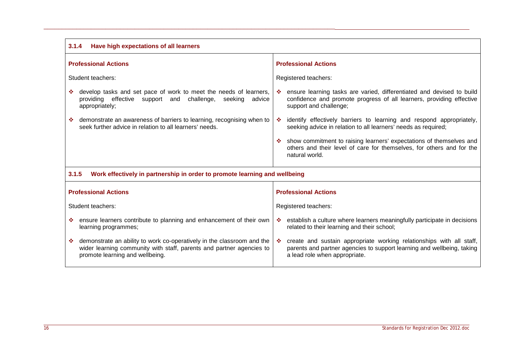| 3.1.4<br>Have high expectations of all learners                                                                                                                                   |                                                                                                                                                                                        |  |  |
|-----------------------------------------------------------------------------------------------------------------------------------------------------------------------------------|----------------------------------------------------------------------------------------------------------------------------------------------------------------------------------------|--|--|
| <b>Professional Actions</b>                                                                                                                                                       | <b>Professional Actions</b>                                                                                                                                                            |  |  |
| Student teachers:                                                                                                                                                                 | Registered teachers:                                                                                                                                                                   |  |  |
| develop tasks and set pace of work to meet the needs of learners,<br>providing effective support and<br>challenge,<br>seeking<br>advice<br>appropriately;                         | ensure learning tasks are varied, differentiated and devised to build<br><b>AN</b><br>confidence and promote progress of all learners, providing effective<br>support and challenge;   |  |  |
| demonstrate an awareness of barriers to learning, recognising when to<br>seek further advice in relation to all learners' needs.                                                  | identify effectively barriers to learning and respond appropriately,<br>-6<br>seeking advice in relation to all learners' needs as required;                                           |  |  |
|                                                                                                                                                                                   | show commitment to raising learners' expectations of themselves and<br>others and their level of care for themselves, for others and for the<br>natural world.                         |  |  |
| 3.1.5<br>Work effectively in partnership in order to promote learning and wellbeing                                                                                               |                                                                                                                                                                                        |  |  |
| <b>Professional Actions</b>                                                                                                                                                       | <b>Professional Actions</b>                                                                                                                                                            |  |  |
| Student teachers:                                                                                                                                                                 | Registered teachers:                                                                                                                                                                   |  |  |
| ensure learners contribute to planning and enhancement of their own<br>learning programmes;                                                                                       | establish a culture where learners meaningfully participate in decisions<br>❖<br>related to their learning and their school;                                                           |  |  |
| demonstrate an ability to work co-operatively in the classroom and the<br>wider learning community with staff, parents and partner agencies to<br>promote learning and wellbeing. | create and sustain appropriate working relationships with all staff,<br>-66<br>parents and partner agencies to support learning and wellbeing, taking<br>a lead role when appropriate. |  |  |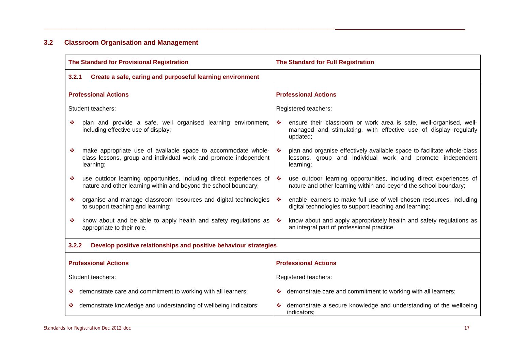## <span id="page-17-0"></span>**3.2 Classroom Organisation and Management**

| The Standard for Provisional Registration                                                                                                           | The Standard for Full Registration                                                                                                                                     |  |
|-----------------------------------------------------------------------------------------------------------------------------------------------------|------------------------------------------------------------------------------------------------------------------------------------------------------------------------|--|
| 3.2.1<br>Create a safe, caring and purposeful learning environment                                                                                  |                                                                                                                                                                        |  |
| <b>Professional Actions</b>                                                                                                                         | <b>Professional Actions</b>                                                                                                                                            |  |
| Student teachers:                                                                                                                                   | Registered teachers:                                                                                                                                                   |  |
| plan and provide a safe, well organised learning environment,<br>❖<br>including effective use of display;                                           | ensure their classroom or work area is safe, well-organised, well-<br>❖<br>managed and stimulating, with effective use of display regularly<br>updated;                |  |
| make appropriate use of available space to accommodate whole-<br>❖<br>class lessons, group and individual work and promote independent<br>learning; | plan and organise effectively available space to facilitate whole-class<br>壘<br>lessons, group and individual work and promote independent<br>learning;                |  |
| use outdoor learning opportunities, including direct experiences of<br>❖<br>nature and other learning within and beyond the school boundary;        | use outdoor learning opportunities, including direct experiences of<br>$\mathcal{L}_{\mathcal{C}}$<br>nature and other learning within and beyond the school boundary; |  |
| organise and manage classroom resources and digital technologies<br>÷<br>to support teaching and learning;                                          | enable learners to make full use of well-chosen resources, including<br>壘<br>digital technologies to support teaching and learning;                                    |  |
| know about and be able to apply health and safety regulations as<br>❖<br>appropriate to their role.                                                 | know about and apply appropriately health and safety regulations as<br>壘<br>an integral part of professional practice.                                                 |  |
| 3.2.2<br>Develop positive relationships and positive behaviour strategies                                                                           |                                                                                                                                                                        |  |
| <b>Professional Actions</b>                                                                                                                         | <b>Professional Actions</b>                                                                                                                                            |  |
| Student teachers:                                                                                                                                   | Registered teachers:                                                                                                                                                   |  |
| demonstrate care and commitment to working with all learners;<br>豪                                                                                  | demonstrate care and commitment to working with all learners;<br>豪。                                                                                                    |  |
| demonstrate knowledge and understanding of wellbeing indicators;<br>豪                                                                               | demonstrate a secure knowledge and understanding of the wellbeing<br>indicators:                                                                                       |  |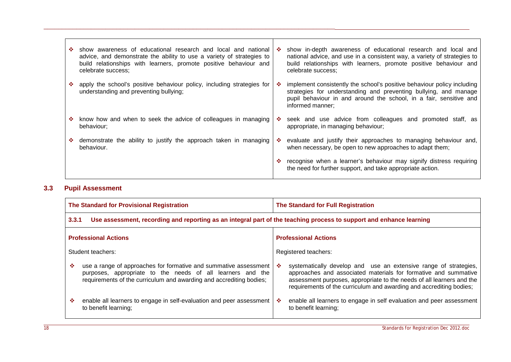| -18 | show awareness of educational research and local and national<br>advice, and demonstrate the ability to use a variety of strategies to<br>build relationships with learners, promote positive behaviour and<br>celebrate success: | -6  | show in-depth awareness of educational research and local and<br>national advice, and use in a consistent way, a variety of strategies to<br>build relationships with learners, promote positive behaviour and<br>celebrate success:  |
|-----|-----------------------------------------------------------------------------------------------------------------------------------------------------------------------------------------------------------------------------------|-----|---------------------------------------------------------------------------------------------------------------------------------------------------------------------------------------------------------------------------------------|
| 參   | apply the school's positive behaviour policy, including strategies for<br>understanding and preventing bullying;                                                                                                                  | ∙   | implement consistently the school's positive behaviour policy including<br>strategies for understanding and preventing bullying, and manage<br>pupil behaviour in and around the school, in a fair, sensitive and<br>informed manner; |
| 豪   | know how and when to seek the advice of colleagues in managing<br>behaviour;                                                                                                                                                      | ÷   | seek and use advice from colleagues and promoted staff, as<br>appropriate, in managing behaviour;                                                                                                                                     |
| -96 | demonstrate the ability to justify the approach taken in managing<br>behaviour.                                                                                                                                                   | -66 | evaluate and justify their approaches to managing behaviour and,<br>when necessary, be open to new approaches to adapt them;                                                                                                          |
|     |                                                                                                                                                                                                                                   |     | recognise when a learner's behaviour may signify distress requiring<br>the need for further support, and take appropriate action.                                                                                                     |

## <span id="page-18-0"></span>**3.3 Pupil Assessment**

| The Standard for Provisional Registration |                                                                                                                                                                                                       | The Standard for Full Registration |                                                                                                                                                                                                                                                                                     |  |  |
|-------------------------------------------|-------------------------------------------------------------------------------------------------------------------------------------------------------------------------------------------------------|------------------------------------|-------------------------------------------------------------------------------------------------------------------------------------------------------------------------------------------------------------------------------------------------------------------------------------|--|--|
|                                           | Use assessment, recording and reporting as an integral part of the teaching process to support and enhance learning<br>3.3.1                                                                          |                                    |                                                                                                                                                                                                                                                                                     |  |  |
| <b>Professional Actions</b>               |                                                                                                                                                                                                       | <b>Professional Actions</b>        |                                                                                                                                                                                                                                                                                     |  |  |
| Student teachers:                         |                                                                                                                                                                                                       | Registered teachers:               |                                                                                                                                                                                                                                                                                     |  |  |
| ❖                                         | use a range of approaches for formative and summative assessment<br>purposes, appropriate to the needs of all learners and the<br>requirements of the curriculum and awarding and accrediting bodies; | -66                                | systematically develop and use an extensive range of strategies,<br>approaches and associated materials for formative and summative<br>assessment purposes, appropriate to the needs of all learners and the<br>requirements of the curriculum and awarding and accrediting bodies; |  |  |
| ❖                                         | enable all learners to engage in self-evaluation and peer assessment<br>to benefit learning;                                                                                                          | -6                                 | enable all learners to engage in self evaluation and peer assessment<br>to benefit learning;                                                                                                                                                                                        |  |  |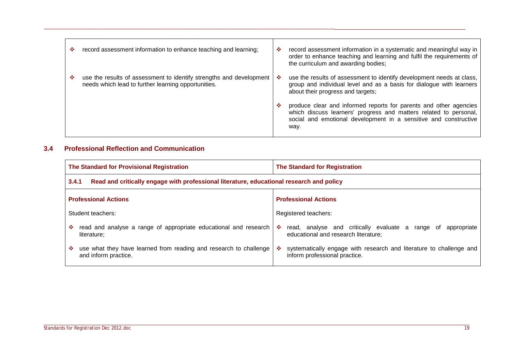| ❖ | record assessment information to enhance teaching and learning;                                                            | ❖  | record assessment information in a systematic and meaningful way in<br>order to enhance teaching and learning and fulfil the requirements of<br>the curriculum and awarding bodies;                                |
|---|----------------------------------------------------------------------------------------------------------------------------|----|--------------------------------------------------------------------------------------------------------------------------------------------------------------------------------------------------------------------|
|   | use the results of assessment to identify strengths and development<br>needs which lead to further learning opportunities. | -6 | use the results of assessment to identify development needs at class,<br>group and individual level and as a basis for dialogue with learners<br>about their progress and targets;                                 |
|   |                                                                                                                            | ∙  | produce clear and informed reports for parents and other agencies<br>which discuss learners' progress and matters related to personal,<br>social and emotional development in a sensitive and constructive<br>way. |

### <span id="page-19-0"></span>**3.4 Professional Reflection and Communication**

\_\_\_\_\_\_\_\_\_\_\_\_\_\_\_\_\_\_\_\_\_\_\_\_\_\_\_\_\_\_\_\_\_\_\_\_\_\_\_\_\_\_\_\_\_\_\_\_\_\_\_\_\_\_\_\_\_\_\_\_\_\_\_\_\_\_\_\_\_\_\_\_\_\_\_\_\_\_\_\_

| The Standard for Provisional Registration                                                         | <b>The Standard for Registration</b>                                                                         |  |  |
|---------------------------------------------------------------------------------------------------|--------------------------------------------------------------------------------------------------------------|--|--|
| Read and critically engage with professional literature, educational research and policy<br>3.4.1 |                                                                                                              |  |  |
| <b>Professional Actions</b>                                                                       | <b>Professional Actions</b>                                                                                  |  |  |
| Student teachers:                                                                                 | Registered teachers:                                                                                         |  |  |
| read and analyse a range of appropriate educational and research<br>❖<br>literature:              | read, analyse and critically evaluate a range of<br>❖<br>appropriate<br>educational and research literature; |  |  |
| use what they have learned from reading and research to challenge<br>❖<br>and inform practice.    | systematically engage with research and literature to challenge and<br>❖<br>inform professional practice.    |  |  |

 $\blacksquare$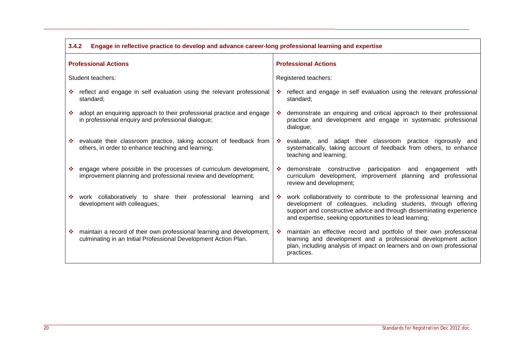| 3.4.2<br>Engage in reflective practice to develop and advance career-long professional learning and expertise                                 |                                                                                                                                                                                                                                                                                 |  |
|-----------------------------------------------------------------------------------------------------------------------------------------------|---------------------------------------------------------------------------------------------------------------------------------------------------------------------------------------------------------------------------------------------------------------------------------|--|
| <b>Professional Actions</b>                                                                                                                   | <b>Professional Actions</b>                                                                                                                                                                                                                                                     |  |
| Student teachers:                                                                                                                             | Registered teachers:                                                                                                                                                                                                                                                            |  |
| reflect and engage in self evaluation using the relevant professional<br>standard;                                                            | reflect and engage in self evaluation using the relevant professional<br>standard;                                                                                                                                                                                              |  |
| adopt an enquiring approach to their professional practice and engage<br>in professional enquiry and professional dialogue;                   | demonstrate an enquiring and critical approach to their professional<br>-66<br>practice and development and engage in systematic professional<br>dialogue;                                                                                                                      |  |
| evaluate their classroom practice, taking account of feedback from<br>樂<br>others, in order to enhance teaching and learning;                 | evaluate, and adapt their classroom practice rigorously and<br>-9<br>systematically, taking account of feedback from others, to enhance<br>teaching and learning;                                                                                                               |  |
| engage where possible in the processes of curriculum development,<br>❖<br>improvement planning and professional review and development;       | demonstrate constructive participation<br>-66<br>engagement<br>and<br>with<br>curriculum development, improvement planning and professional<br>review and development;                                                                                                          |  |
| work collaboratively to share their professional learning and<br>❖<br>development with colleagues;                                            | work collaboratively to contribute to the professional learning and<br>-98<br>development of colleagues, including students, through offering<br>support and constructive advice and through disseminating experience<br>and expertise, seeking opportunities to lead learning; |  |
| maintain a record of their own professional learning and development,<br>❖<br>culminating in an Initial Professional Development Action Plan. | maintain an effective record and portfolio of their own professional<br>-66<br>learning and development and a professional development action<br>plan, including analysis of impact on learners and on own professional<br>practices.                                           |  |

 $\blacksquare$